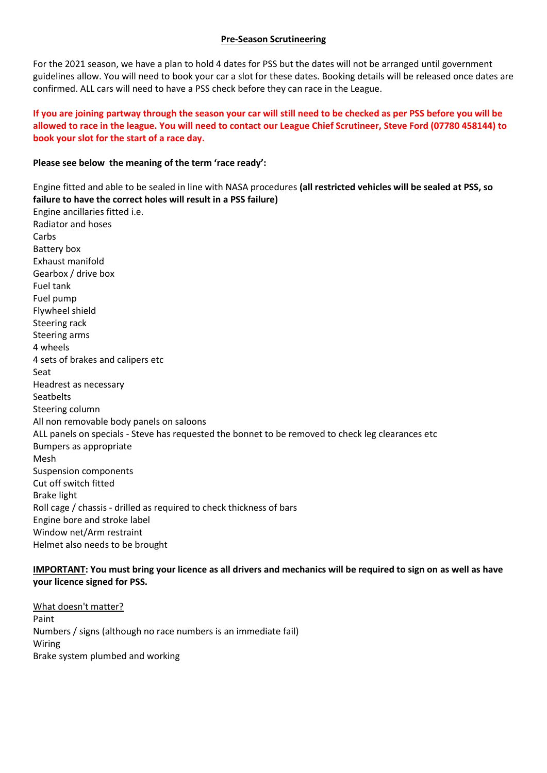# **Pre-Season Scrutineering**

For the 2021 season, we have a plan to hold 4 dates for PSS but the dates will not be arranged until government guidelines allow. You will need to book your car a slot for these dates. Booking details will be released once dates are confirmed. ALL cars will need to have a PSS check before they can race in the League.

# **If you are joining partway through the season your car will still need to be checked as per PSS before you will be allowed to race in the league. You will need to contact our League Chief Scrutineer, Steve Ford (07780 458144) to book your slot for the start of a race day.**

# **Please see below the meaning of the term 'race ready':**

Engine fitted and able to be sealed in line with NASA procedures **(all restricted vehicles will be sealed at PSS, so failure to have the correct holes will result in a PSS failure)** Engine ancillaries fitted i.e. Radiator and hoses Carbs Battery box Exhaust manifold Gearbox / drive box Fuel tank Fuel pump Flywheel shield Steering rack Steering arms 4 wheels 4 sets of brakes and calipers etc Seat Headrest as necessary **Seatbelts** Steering column All non removable body panels on saloons ALL panels on specials - Steve has requested the bonnet to be removed to check leg clearances etc Bumpers as appropriate Mesh Suspension components Cut off switch fitted Brake light Roll cage / chassis - drilled as required to check thickness of bars Engine bore and stroke label Window net/Arm restraint Helmet also needs to be brought

# **IMPORTANT: You must bring your licence as all drivers and mechanics will be required to sign on as well as have your licence signed for PSS.**

What doesn't matter? Paint Numbers / signs (although no race numbers is an immediate fail) Wiring Brake system plumbed and working